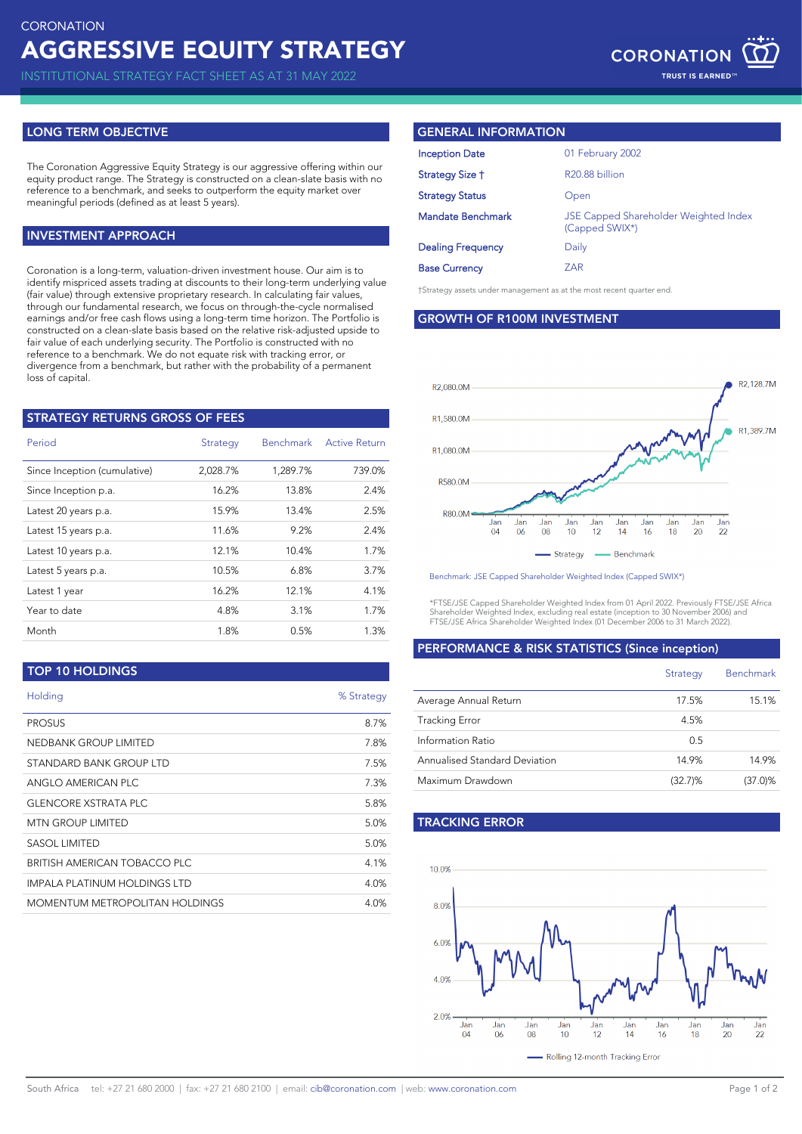INSTITUTIONAL STRATEGY FACT SHEET AS AT 31 MAY 2022

## **LONG TERM OBJECTIVE**

The Coronation Aggressive Equity Strategy is our aggressive offering within our equity product range. The Strategy is constructed on a clean-slate basis with no reference to a benchmark, and seeks to outperform the equity market over meaningful periods (defined as at least 5 years).

## **INVESTMENT APPROACH**

Coronation is a long-term, valuation-driven investment house. Our aim is to identify mispriced assets trading at discounts to their long-term underlying value (fair value) through extensive proprietary research. In calculating fair values, through our fundamental research, we focus on through-the-cycle normalised earnings and/or free cash flows using a long-term time horizon. The Portfolio is constructed on a clean-slate basis based on the relative risk-adjusted upside to fair value of each underlying security. The Portfolio is constructed with no reference to a benchmark. We do not equate risk with tracking error, or divergence from a benchmark, but rather with the probability of a permanent loss of capital.

| <b>STRATEGY RETURNS GROSS OF FEES</b> |          |                  |                      |
|---------------------------------------|----------|------------------|----------------------|
| Period                                | Strategy | <b>Benchmark</b> | <b>Active Return</b> |
| Since Inception (cumulative)          | 2,028.7% | 1,289.7%         | 739.0%               |
| Since Inception p.a.                  | 16.2%    | 13.8%            | 2.4%                 |
| Latest 20 years p.a.                  | 15.9%    | 13.4%            | 2.5%                 |
| Latest 15 years p.a.                  | 11.6%    | 9.2%             | 2.4%                 |
| Latest 10 years p.a.                  | 12.1%    | 10.4%            | 1.7%                 |
| Latest 5 years p.a.                   | 10.5%    | 6.8%             | 3.7%                 |
| Latest 1 year                         | 16.2%    | 12.1%            | 4.1%                 |
| Year to date                          | 4.8%     | 3.1%             | 1.7%                 |
| Month                                 | 1.8%     | 0.5%             | 1.3%                 |
|                                       |          |                  |                      |

**TOP 10 HOLDINGS**

| Holding                        | % Strategy |
|--------------------------------|------------|
| <b>PROSUS</b>                  | 8.7%       |
| NEDBANK GROUP LIMITED          | 7.8%       |
| STANDARD BANK GROUP LTD        | 7.5%       |
| ANGLO AMERICAN PLC             | 7.3%       |
| <b>GLENCORE XSTRATA PLC</b>    | 5.8%       |
| <b>MTN GROUP LIMITED</b>       | 5.0%       |
| SASOL LIMITED                  | 5.0%       |
| BRITISH AMERICAN TOBACCO PLC   | 4.1%       |
| IMPALA PLATINUM HOLDINGS LTD   | 4.0%       |
| MOMENTUM METROPOLITAN HOLDINGS | 4.0%       |

## **GENERAL INFORMATION**

| <b>Inception Date</b>    | 01 February 2002                                        |
|--------------------------|---------------------------------------------------------|
| Strategy Size †          | R <sub>20.88</sub> billion                              |
| <b>Strategy Status</b>   | Open                                                    |
| Mandate Benchmark        | JSE Capped Shareholder Weighted Index<br>(Capped SWIX*) |
| <b>Dealing Frequency</b> | Daily                                                   |
| <b>Base Currency</b>     | ZAR                                                     |
|                          |                                                         |

†Strategy assets under management as at the most recent quarter end.

**GROWTH OF R100M INVESTMENT**



Benchmark: JSE Capped Shareholder Weighted Index (Capped SWIX\*)

\*FTSE/JSE Capped Shareholder Weighted Index from 01 April 2022. Previously FTSE/JSE Africa Shareholder Weighted Index, excluding real estate (inception to 30 November 2006) and FTSE/JSE Africa Shareholder Weighted Index (01 December 2006 to 31 March 2022).

### **PERFORMANCE & RISK STATISTICS (Since inception)**

|                               | Strategy   | <b>Benchmark</b> |
|-------------------------------|------------|------------------|
| Average Annual Return         | 17.5%      | 15.1%            |
| <b>Tracking Error</b>         | 4.5%       |                  |
| Information Ratio             | 0.5        |                  |
| Annualised Standard Deviation | 14.9%      | 14.9%            |
| Maximum Drawdown              | $(32.7)\%$ | $(37.0)\%$       |

# **TRACKING ERROR**